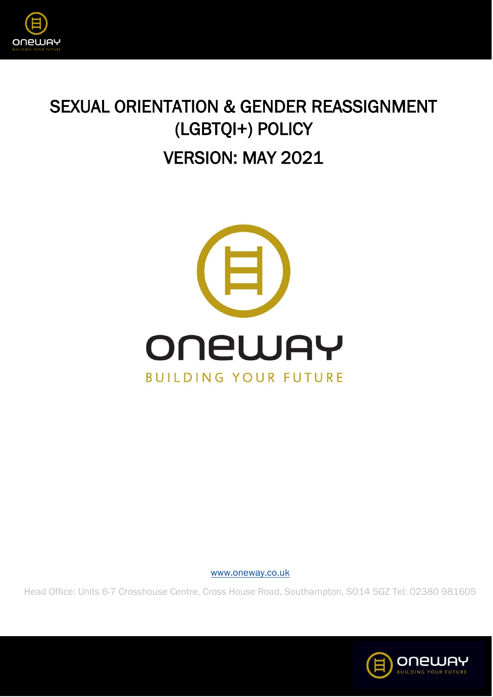

## SEXUAL ORIENTATION & GENDER REASSIGNMENT (LGBTQI+) POLICY VERSION: MAY 2021



[www.oneway.co.uk](http://www.oneway.co.uk/)

Head Office: Units 6-7 Crosshouse Centre, Cross House Road, Southampton, SO14 5GZ Tel: 02380 981605